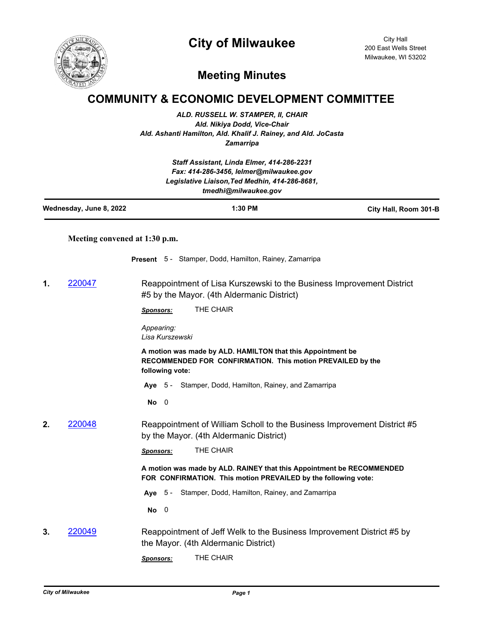## **City of Milwaukee**



City Hall 200 East Wells Street Milwaukee, WI 53202

## **Meeting Minutes**

## **COMMUNITY & ECONOMIC DEVELOPMENT COMMITTEE**

*ALD. RUSSELL W. STAMPER, II, CHAIR Ald. Nikiya Dodd, Vice-Chair Ald. Ashanti Hamilton, Ald. Khalif J. Rainey, and Ald. JoCasta Zamarripa*

> *Staff Assistant, Linda Elmer, 414-286-2231 Fax: 414-286-3456, lelmer@milwaukee.gov Legislative Liaison,Ted Medhin, 414-286-8681, tmedhi@milwaukee.gov*

| Wednesday, June 8, 2022 | 1:30 PM | City Hall, Room 301-B |
|-------------------------|---------|-----------------------|
|                         |         |                       |

## **Meeting convened at 1:30 p.m.**

**Present** 5 - Stamper, Dodd, Hamilton, Rainey, Zamarripa

**1.** [220047](http://milwaukee.legistar.com/gateway.aspx?m=l&id=/matter.aspx?key=62072) Reappointment of Lisa Kurszewski to the Business Improvement District #5 by the Mayor. (4th Aldermanic District)

*Sponsors:* THE CHAIR

*Appearing: Lisa Kurszewski*

**A motion was made by ALD. HAMILTON that this Appointment be RECOMMENDED FOR CONFIRMATION. This motion PREVAILED by the following vote:**

**Aye** 5 - Stamper, Dodd, Hamilton, Rainey, and Zamarripa

**No** 0

**2.** [220048](http://milwaukee.legistar.com/gateway.aspx?m=l&id=/matter.aspx?key=62073) Reappointment of William Scholl to the Business Improvement District #5 by the Mayor. (4th Aldermanic District)

*Sponsors:* THE CHAIR

**A motion was made by ALD. RAINEY that this Appointment be RECOMMENDED FOR CONFIRMATION. This motion PREVAILED by the following vote:**

**Aye** 5 - Stamper, Dodd, Hamilton, Rainey, and Zamarripa

**No** 0

**3.** [220049](http://milwaukee.legistar.com/gateway.aspx?m=l&id=/matter.aspx?key=62074) Reappointment of Jeff Welk to the Business Improvement District #5 by the Mayor. (4th Aldermanic District)

*Sponsors:* THE CHAIR